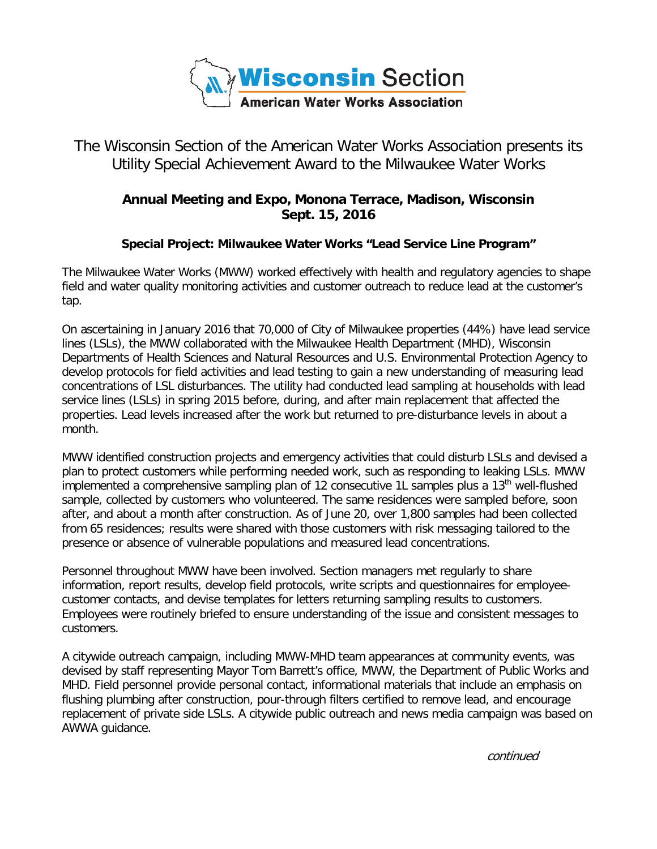

## The Wisconsin Section of the American Water Works Association presents its Utility Special Achievement Award to the Milwaukee Water Works

## **Annual Meeting and Expo, Monona Terrace, Madison, Wisconsin Sept. 15, 2016**

## **Special Project: Milwaukee Water Works "Lead Service Line Program"**

The Milwaukee Water Works (MWW) worked effectively with health and regulatory agencies to shape field and water quality monitoring activities and customer outreach to reduce lead at the customer's tap.

On ascertaining in January 2016 that 70,000 of City of Milwaukee properties (44%) have lead service lines (LSLs), the MWW collaborated with the Milwaukee Health Department (MHD), Wisconsin Departments of Health Sciences and Natural Resources and U.S. Environmental Protection Agency to develop protocols for field activities and lead testing to gain a new understanding of measuring lead concentrations of LSL disturbances. The utility had conducted lead sampling at households with lead service lines (LSLs) in spring 2015 before, during, and after main replacement that affected the properties. Lead levels increased after the work but returned to pre-disturbance levels in about a month.

MWW identified construction projects and emergency activities that could disturb LSLs and devised a plan to protect customers while performing needed work, such as responding to leaking LSLs. MWW implemented a comprehensive sampling plan of 12 consecutive 1L samples plus a 13<sup>th</sup> well-flushed sample, collected by customers who volunteered. The same residences were sampled before, soon after, and about a month after construction. As of June 20, over 1,800 samples had been collected from 65 residences; results were shared with those customers with risk messaging tailored to the presence or absence of vulnerable populations and measured lead concentrations.

Personnel throughout MWW have been involved. Section managers met regularly to share information, report results, develop field protocols, write scripts and questionnaires for employeecustomer contacts, and devise templates for letters returning sampling results to customers. Employees were routinely briefed to ensure understanding of the issue and consistent messages to customers.

A citywide outreach campaign, including MWW-MHD team appearances at community events, was devised by staff representing Mayor Tom Barrett's office, MWW, the Department of Public Works and MHD. Field personnel provide personal contact, informational materials that include an emphasis on flushing plumbing after construction, pour-through filters certified to remove lead, and encourage replacement of private side LSLs. A citywide public outreach and news media campaign was based on AWWA guidance.

continued